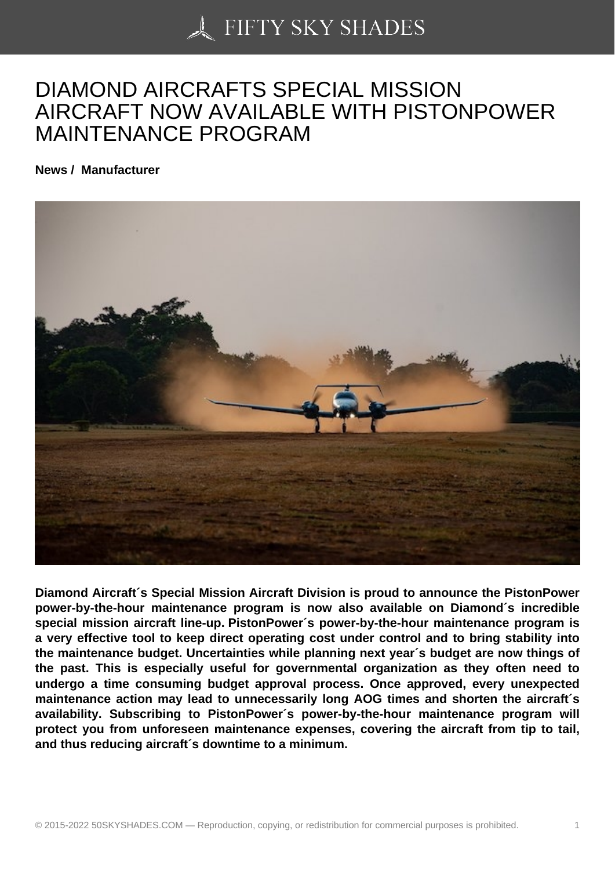## [DIAMOND AIRCRAFT](https://50skyshades.com)S SPECIAL MISSION AIRCRAFT NOW AVAILABLE WITH PISTONPOWER MAINTENANCE PROGRAM

News / Manufacturer

Diamond Aircraft´s Special Mission Aircraft Division is proud to announce the PistonPower power-by-the-hour maintenance program is now also available on Diamond´s incredible special mission aircraft line-up. PistonPower´s power-by-the-hour maintenance program is a very effective tool to keep direct operating cost under control and to bring stability into the maintenance budget. Uncertainties while planning next year´s budget are now things of the past. This is especially useful for governmental organization as they often need to undergo a time consuming budget approval process. Once approved, every unexpected maintenance action may lead to unnecessarily long AOG times and shorten the aircraft´s availability. Subscribing to PistonPower´s power-by-the-hour maintenance program will protect you from unforeseen maintenance expenses, covering the aircraft from tip to tail, and thus reducing aircraft´s downtime to a minimum.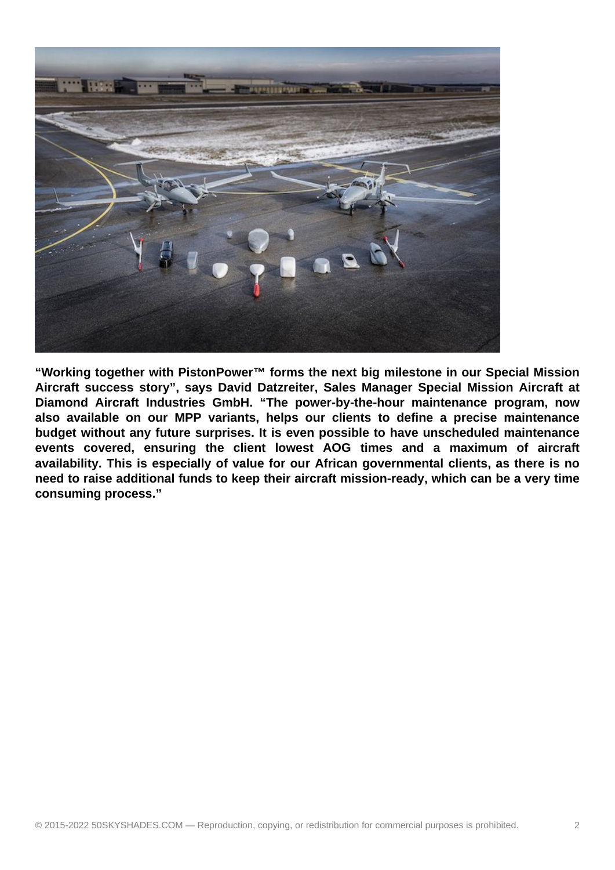

**"Working together with PistonPower™ forms the next big milestone in our Special Mission Aircraft success story", says David Datzreiter, Sales Manager Special Mission Aircraft at Diamond Aircraft Industries GmbH. "The power-by-the-hour maintenance program, now also available on our MPP variants, helps our clients to define a precise maintenance budget without any future surprises. It is even possible to have unscheduled maintenance events covered, ensuring the client lowest AOG times and a maximum of aircraft availability. This is especially of value for our African governmental clients, as there is no need to raise additional funds to keep their aircraft mission-ready, which can be a very time consuming process."**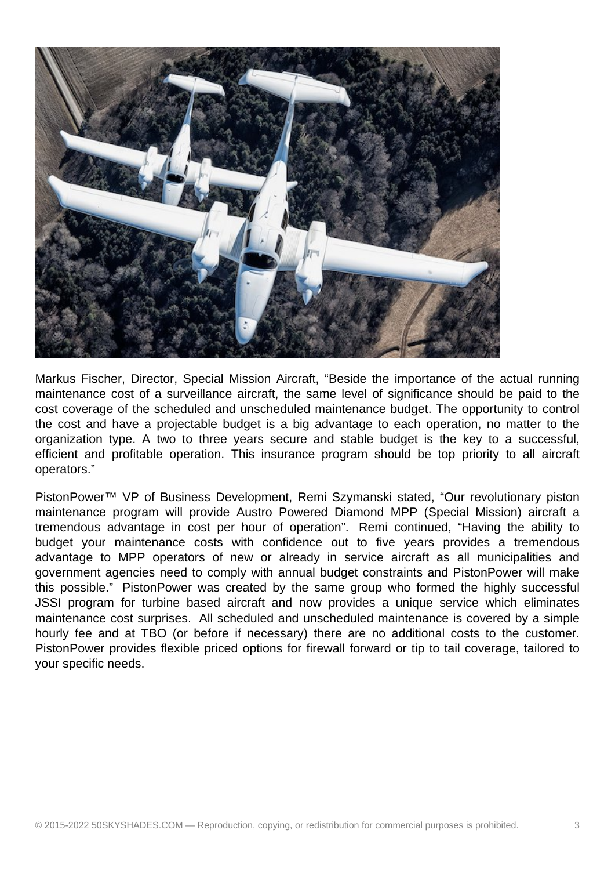

Markus Fischer, Director, Special Mission Aircraft, "Beside the importance of the actual running maintenance cost of a surveillance aircraft, the same level of significance should be paid to the cost coverage of the scheduled and unscheduled maintenance budget. The opportunity to control the cost and have a projectable budget is a big advantage to each operation, no matter to the organization type. A two to three years secure and stable budget is the key to a successful, efficient and profitable operation. This insurance program should be top priority to all aircraft operators."

PistonPower™ VP of Business Development, Remi Szymanski stated, "Our revolutionary piston maintenance program will provide Austro Powered Diamond MPP (Special Mission) aircraft a tremendous advantage in cost per hour of operation". Remi continued, "Having the ability to budget your maintenance costs with confidence out to five years provides a tremendous advantage to MPP operators of new or already in service aircraft as all municipalities and government agencies need to comply with annual budget constraints and PistonPower will make this possible." PistonPower was created by the same group who formed the highly successful JSSI program for turbine based aircraft and now provides a unique service which eliminates maintenance cost surprises. All scheduled and unscheduled maintenance is covered by a simple hourly fee and at TBO (or before if necessary) there are no additional costs to the customer. PistonPower provides flexible priced options for firewall forward or tip to tail coverage, tailored to your specific needs.